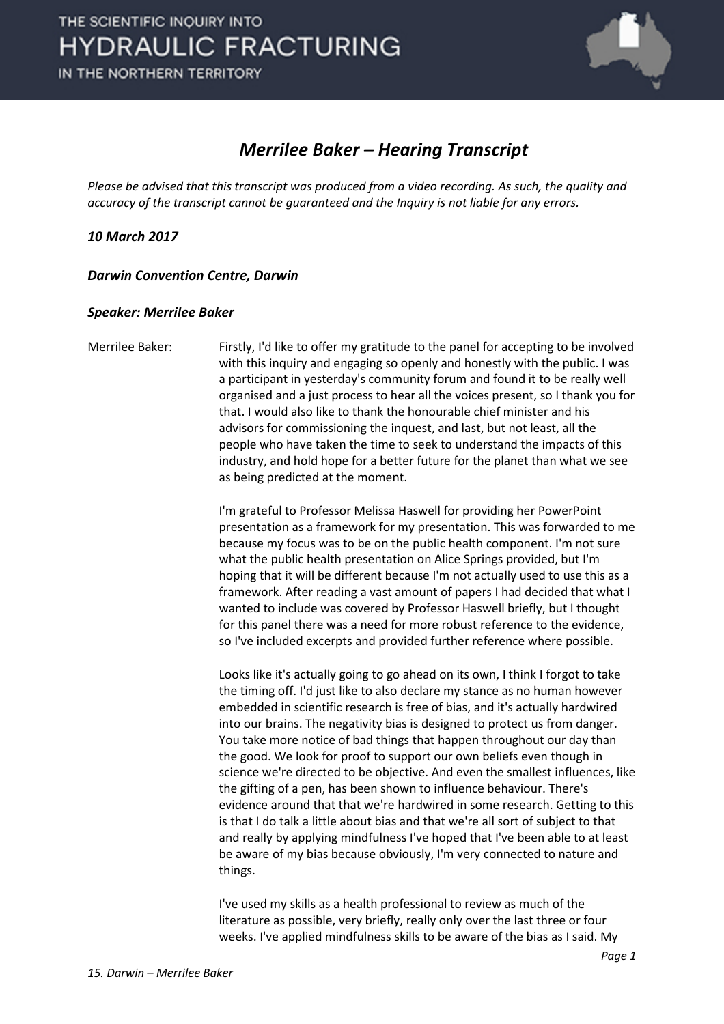

## *Merrilee Baker – Hearing Transcript*

*Please be advised that this transcript was produced from a video recording. As such, the quality and accuracy of the transcript cannot be guaranteed and the Inquiry is not liable for any errors.*

*10 March 2017* 

*Darwin Convention Centre, Darwin* 

## *Speaker: Merrilee Baker*

Merrilee Baker: Firstly, I'd like to offer my gratitude to the panel for accepting to be involved with this inquiry and engaging so openly and honestly with the public. I was a participant in yesterday's community forum and found it to be really well organised and a just process to hear all the voices present, so I thank you for that. I would also like to thank the honourable chief minister and his advisors for commissioning the inquest, and last, but not least, all the people who have taken the time to seek to understand the impacts of this industry, and hold hope for a better future for the planet than what we see as being predicted at the moment.

> I'm grateful to Professor Melissa Haswell for providing her PowerPoint presentation as a framework for my presentation. This was forwarded to me because my focus was to be on the public health component. I'm not sure what the public health presentation on Alice Springs provided, but I'm hoping that it will be different because I'm not actually used to use this as a framework. After reading a vast amount of papers I had decided that what I wanted to include was covered by Professor Haswell briefly, but I thought for this panel there was a need for more robust reference to the evidence, so I've included excerpts and provided further reference where possible.

> Looks like it's actually going to go ahead on its own, I think I forgot to take the timing off. I'd just like to also declare my stance as no human however embedded in scientific research is free of bias, and it's actually hardwired into our brains. The negativity bias is designed to protect us from danger. You take more notice of bad things that happen throughout our day than the good. We look for proof to support our own beliefs even though in science we're directed to be objective. And even the smallest influences, like the gifting of a pen, has been shown to influence behaviour. There's evidence around that that we're hardwired in some research. Getting to this is that I do talk a little about bias and that we're all sort of subject to that and really by applying mindfulness I've hoped that I've been able to at least be aware of my bias because obviously, I'm very connected to nature and things.

I've used my skills as a health professional to review as much of the literature as possible, very briefly, really only over the last three or four weeks. I've applied mindfulness skills to be aware of the bias as I said. My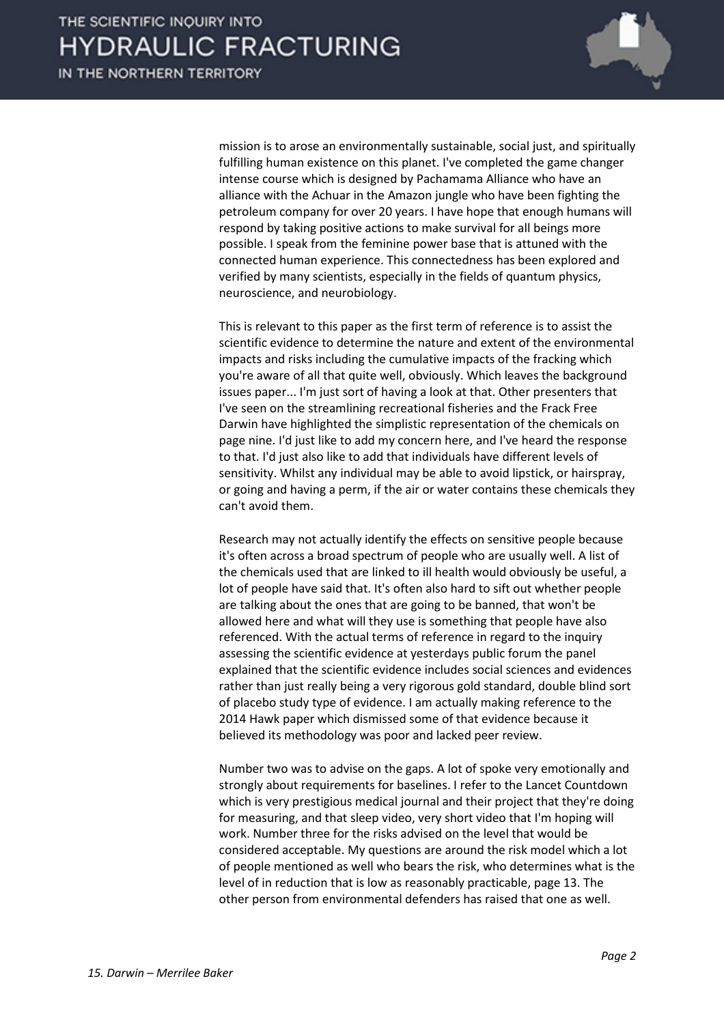

mission is to arose an environmentally sustainable, social just, and spiritually fulfilling human existence on this planet. I've completed the game changer intense course which is designed by Pachamama Alliance who have an alliance with the Achuar in the Amazon jungle who have been fighting the petroleum company for over 20 years. I have hope that enough humans will respond by taking positive actions to make survival for all beings more possible. I speak from the feminine power base that is attuned with the connected human experience. This connectedness has been explored and verified by many scientists, especially in the fields of quantum physics, neuroscience, and neurobiology.

This is relevant to this paper as the first term of reference is to assist the scientific evidence to determine the nature and extent of the environmental impacts and risks including the cumulative impacts of the fracking which you're aware of all that quite well, obviously. Which leaves the background issues paper... I'm just sort of having a look at that. Other presenters that I've seen on the streamlining recreational fisheries and the Frack Free Darwin have highlighted the simplistic representation of the chemicals on page nine. I'd just like to add my concern here, and I've heard the response to that. I'd just also like to add that individuals have different levels of sensitivity. Whilst any individual may be able to avoid lipstick, or hairspray, or going and having a perm, if the air or water contains these chemicals they can't avoid them.

Research may not actually identify the effects on sensitive people because it's often across a broad spectrum of people who are usually well. A list of the chemicals used that are linked to ill health would obviously be useful, a lot of people have said that. It's often also hard to sift out whether people are talking about the ones that are going to be banned, that won't be allowed here and what will they use is something that people have also referenced. With the actual terms of reference in regard to the inquiry assessing the scientific evidence at yesterdays public forum the panel explained that the scientific evidence includes social sciences and evidences rather than just really being a very rigorous gold standard, double blind sort of placebo study type of evidence. I am actually making reference to the 2014 Hawk paper which dismissed some of that evidence because it believed its methodology was poor and lacked peer review.

Number two was to advise on the gaps. A lot of spoke very emotionally and strongly about requirements for baselines. I refer to the Lancet Countdown which is very prestigious medical journal and their project that they're doing for measuring, and that sleep video, very short video that I'm hoping will work. Number three for the risks advised on the level that would be considered acceptable. My questions are around the risk model which a lot of people mentioned as well who bears the risk, who determines what is the level of in reduction that is low as reasonably practicable, page 13. The other person from environmental defenders has raised that one as well.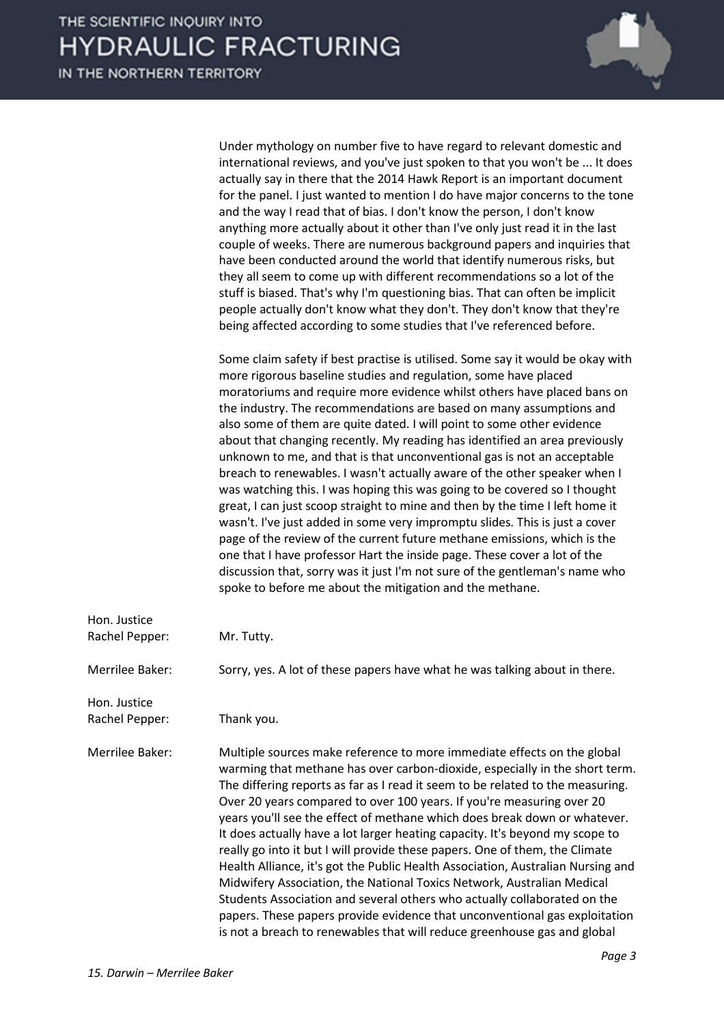IN THE NORTHERN TERRITORY



Under mythology on number five to have regard to relevant domestic and international reviews, and you've just spoken to that you won't be ... It does actually say in there that the 2014 Hawk Report is an important document for the panel. I just wanted to mention I do have major concerns to the tone and the way I read that of bias. I don't know the person, I don't know anything more actually about it other than I've only just read it in the last couple of weeks. There are numerous background papers and inquiries that have been conducted around the world that identify numerous risks, but they all seem to come up with different recommendations so a lot of the stuff is biased. That's why I'm questioning bias. That can often be implicit people actually don't know what they don't. They don't know that they're being affected according to some studies that I've referenced before.

Some claim safety if best practise is utilised. Some say it would be okay with more rigorous baseline studies and regulation, some have placed moratoriums and require more evidence whilst others have placed bans on the industry. The recommendations are based on many assumptions and also some of them are quite dated. I will point to some other evidence about that changing recently. My reading has identified an area previously unknown to me, and that is that unconventional gas is not an acceptable breach to renewables. I wasn't actually aware of the other speaker when I was watching this. I was hoping this was going to be covered so I thought great, I can just scoop straight to mine and then by the time I left home it wasn't. I've just added in some very impromptu slides. This is just a cover page of the review of the current future methane emissions, which is the one that I have professor Hart the inside page. These cover a lot of the discussion that, sorry was it just I'm not sure of the gentleman's name who spoke to before me about the mitigation and the methane.

| Hon. Justice<br>Rachel Pepper: | Mr. Tutty.                                                                                                                                                                                                                                                                                                                                                                                                                                                                                                                                                                                                                                                                                                                                                                                                                                                                                                                                                       |
|--------------------------------|------------------------------------------------------------------------------------------------------------------------------------------------------------------------------------------------------------------------------------------------------------------------------------------------------------------------------------------------------------------------------------------------------------------------------------------------------------------------------------------------------------------------------------------------------------------------------------------------------------------------------------------------------------------------------------------------------------------------------------------------------------------------------------------------------------------------------------------------------------------------------------------------------------------------------------------------------------------|
| Merrilee Baker:                | Sorry, yes. A lot of these papers have what he was talking about in there.                                                                                                                                                                                                                                                                                                                                                                                                                                                                                                                                                                                                                                                                                                                                                                                                                                                                                       |
| Hon. Justice<br>Rachel Pepper: | Thank you.                                                                                                                                                                                                                                                                                                                                                                                                                                                                                                                                                                                                                                                                                                                                                                                                                                                                                                                                                       |
| Merrilee Baker:                | Multiple sources make reference to more immediate effects on the global<br>warming that methane has over carbon-dioxide, especially in the short term.<br>The differing reports as far as I read it seem to be related to the measuring.<br>Over 20 years compared to over 100 years. If you're measuring over 20<br>years you'll see the effect of methane which does break down or whatever.<br>It does actually have a lot larger heating capacity. It's beyond my scope to<br>really go into it but I will provide these papers. One of them, the Climate<br>Health Alliance, it's got the Public Health Association, Australian Nursing and<br>Midwifery Association, the National Toxics Network, Australian Medical<br>Students Association and several others who actually collaborated on the<br>papers. These papers provide evidence that unconventional gas exploitation<br>is not a breach to renewables that will reduce greenhouse gas and global |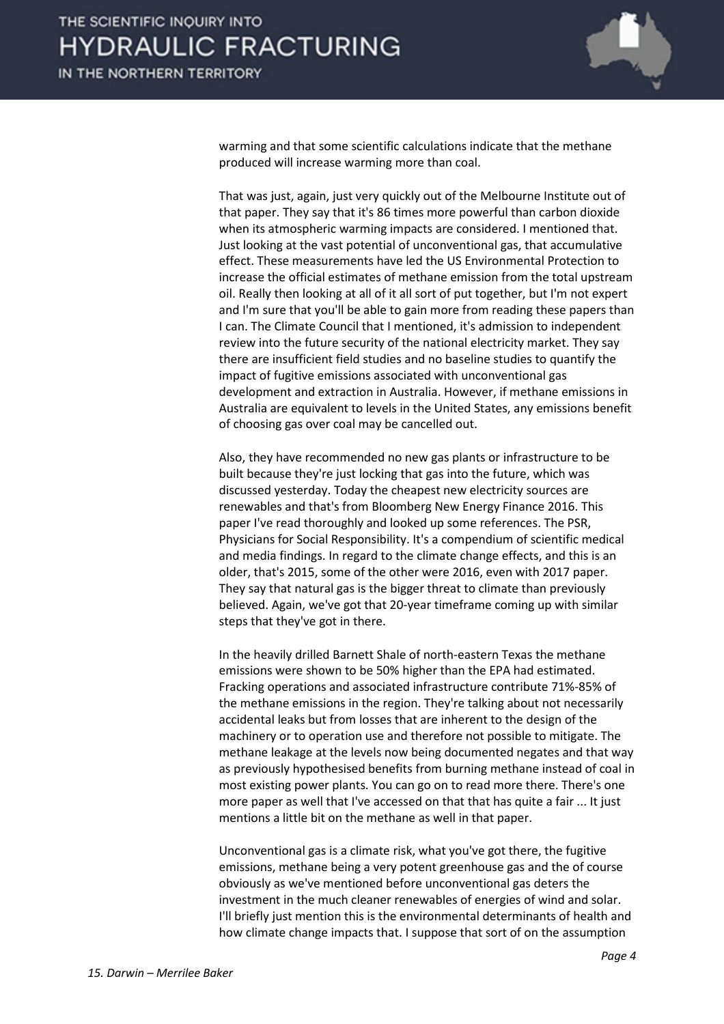

warming and that some scientific calculations indicate that the methane produced will increase warming more than coal.

That was just, again, just very quickly out of the Melbourne Institute out of that paper. They say that it's 86 times more powerful than carbon dioxide when its atmospheric warming impacts are considered. I mentioned that. Just looking at the vast potential of unconventional gas, that accumulative effect. These measurements have led the US Environmental Protection to increase the official estimates of methane emission from the total upstream oil. Really then looking at all of it all sort of put together, but I'm not expert and I'm sure that you'll be able to gain more from reading these papers than I can. The Climate Council that I mentioned, it's admission to independent review into the future security of the national electricity market. They say there are insufficient field studies and no baseline studies to quantify the impact of fugitive emissions associated with unconventional gas development and extraction in Australia. However, if methane emissions in Australia are equivalent to levels in the United States, any emissions benefit of choosing gas over coal may be cancelled out.

Also, they have recommended no new gas plants or infrastructure to be built because they're just locking that gas into the future, which was discussed yesterday. Today the cheapest new electricity sources are renewables and that's from Bloomberg New Energy Finance 2016. This paper I've read thoroughly and looked up some references. The PSR, Physicians for Social Responsibility. It's a compendium of scientific medical and media findings. In regard to the climate change effects, and this is an older, that's 2015, some of the other were 2016, even with 2017 paper. They say that natural gas is the bigger threat to climate than previously believed. Again, we've got that 20-year timeframe coming up with similar steps that they've got in there.

In the heavily drilled Barnett Shale of north-eastern Texas the methane emissions were shown to be 50% higher than the EPA had estimated. Fracking operations and associated infrastructure contribute 71%-85% of the methane emissions in the region. They're talking about not necessarily accidental leaks but from losses that are inherent to the design of the machinery or to operation use and therefore not possible to mitigate. The methane leakage at the levels now being documented negates and that way as previously hypothesised benefits from burning methane instead of coal in most existing power plants. You can go on to read more there. There's one more paper as well that I've accessed on that that has quite a fair ... It just mentions a little bit on the methane as well in that paper.

Unconventional gas is a climate risk, what you've got there, the fugitive emissions, methane being a very potent greenhouse gas and the of course obviously as we've mentioned before unconventional gas deters the investment in the much cleaner renewables of energies of wind and solar. I'll briefly just mention this is the environmental determinants of health and how climate change impacts that. I suppose that sort of on the assumption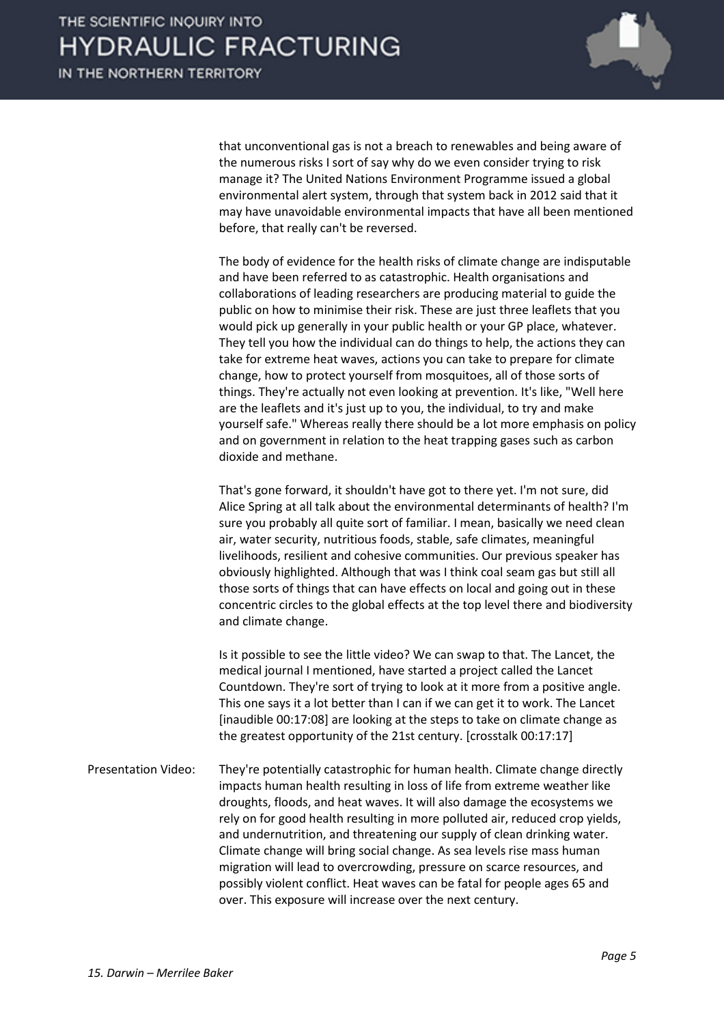

that unconventional gas is not a breach to renewables and being aware of the numerous risks I sort of say why do we even consider trying to risk manage it? The United Nations Environment Programme issued a global environmental alert system, through that system back in 2012 said that it may have unavoidable environmental impacts that have all been mentioned before, that really can't be reversed.

The body of evidence for the health risks of climate change are indisputable and have been referred to as catastrophic. Health organisations and collaborations of leading researchers are producing material to guide the public on how to minimise their risk. These are just three leaflets that you would pick up generally in your public health or your GP place, whatever. They tell you how the individual can do things to help, the actions they can take for extreme heat waves, actions you can take to prepare for climate change, how to protect yourself from mosquitoes, all of those sorts of things. They're actually not even looking at prevention. It's like, "Well here are the leaflets and it's just up to you, the individual, to try and make yourself safe." Whereas really there should be a lot more emphasis on policy and on government in relation to the heat trapping gases such as carbon dioxide and methane.

That's gone forward, it shouldn't have got to there yet. I'm not sure, did Alice Spring at all talk about the environmental determinants of health? I'm sure you probably all quite sort of familiar. I mean, basically we need clean air, water security, nutritious foods, stable, safe climates, meaningful livelihoods, resilient and cohesive communities. Our previous speaker has obviously highlighted. Although that was I think coal seam gas but still all those sorts of things that can have effects on local and going out in these concentric circles to the global effects at the top level there and biodiversity and climate change.

Is it possible to see the little video? We can swap to that. The Lancet, the medical journal I mentioned, have started a project called the Lancet Countdown. They're sort of trying to look at it more from a positive angle. This one says it a lot better than I can if we can get it to work. The Lancet [inaudible 00:17:08] are looking at the steps to take on climate change as the greatest opportunity of the 21st century. [crosstalk 00:17:17]

Presentation Video: They're potentially catastrophic for human health. Climate change directly impacts human health resulting in loss of life from extreme weather like droughts, floods, and heat waves. It will also damage the ecosystems we rely on for good health resulting in more polluted air, reduced crop yields, and undernutrition, and threatening our supply of clean drinking water. Climate change will bring social change. As sea levels rise mass human migration will lead to overcrowding, pressure on scarce resources, and possibly violent conflict. Heat waves can be fatal for people ages 65 and over. This exposure will increase over the next century.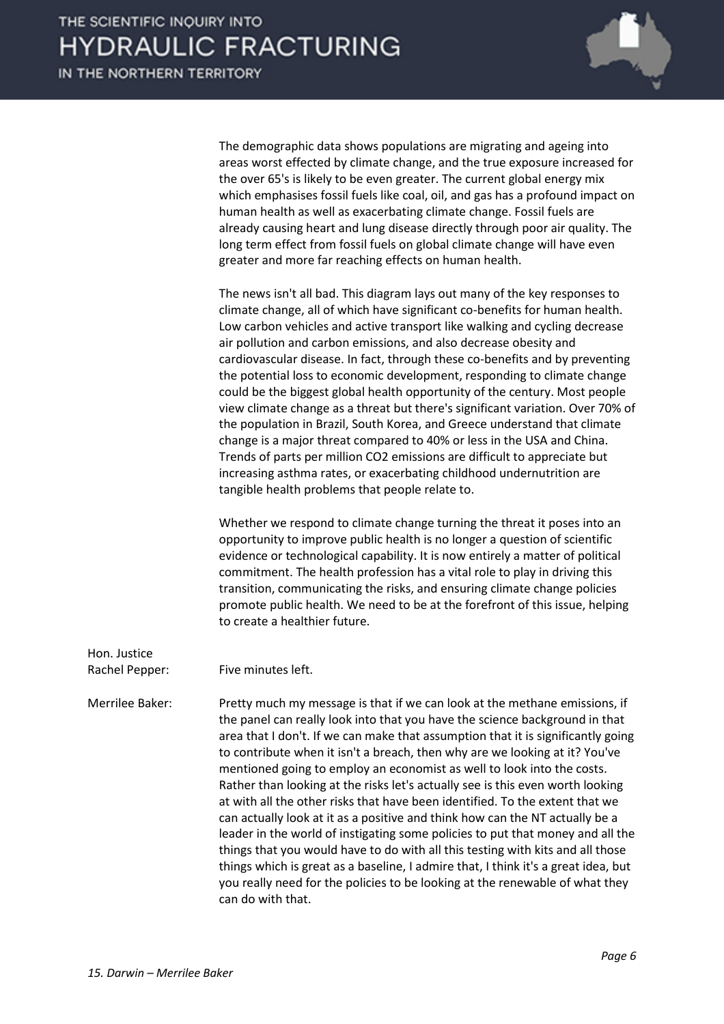

The demographic data shows populations are migrating and ageing into areas worst effected by climate change, and the true exposure increased for the over 65's is likely to be even greater. The current global energy mix which emphasises fossil fuels like coal, oil, and gas has a profound impact on human health as well as exacerbating climate change. Fossil fuels are already causing heart and lung disease directly through poor air quality. The long term effect from fossil fuels on global climate change will have even greater and more far reaching effects on human health.

The news isn't all bad. This diagram lays out many of the key responses to climate change, all of which have significant co-benefits for human health. Low carbon vehicles and active transport like walking and cycling decrease air pollution and carbon emissions, and also decrease obesity and cardiovascular disease. In fact, through these co-benefits and by preventing the potential loss to economic development, responding to climate change could be the biggest global health opportunity of the century. Most people view climate change as a threat but there's significant variation. Over 70% of the population in Brazil, South Korea, and Greece understand that climate change is a major threat compared to 40% or less in the USA and China. Trends of parts per million CO2 emissions are difficult to appreciate but increasing asthma rates, or exacerbating childhood undernutrition are tangible health problems that people relate to.

Whether we respond to climate change turning the threat it poses into an opportunity to improve public health is no longer a question of scientific evidence or technological capability. It is now entirely a matter of political commitment. The health profession has a vital role to play in driving this transition, communicating the risks, and ensuring climate change policies promote public health. We need to be at the forefront of this issue, helping to create a healthier future.

Hon. Justice

Rachel Pepper: Five minutes left.

Merrilee Baker: Pretty much my message is that if we can look at the methane emissions, if the panel can really look into that you have the science background in that area that I don't. If we can make that assumption that it is significantly going to contribute when it isn't a breach, then why are we looking at it? You've mentioned going to employ an economist as well to look into the costs. Rather than looking at the risks let's actually see is this even worth looking at with all the other risks that have been identified. To the extent that we can actually look at it as a positive and think how can the NT actually be a leader in the world of instigating some policies to put that money and all the things that you would have to do with all this testing with kits and all those things which is great as a baseline, I admire that, I think it's a great idea, but you really need for the policies to be looking at the renewable of what they can do with that.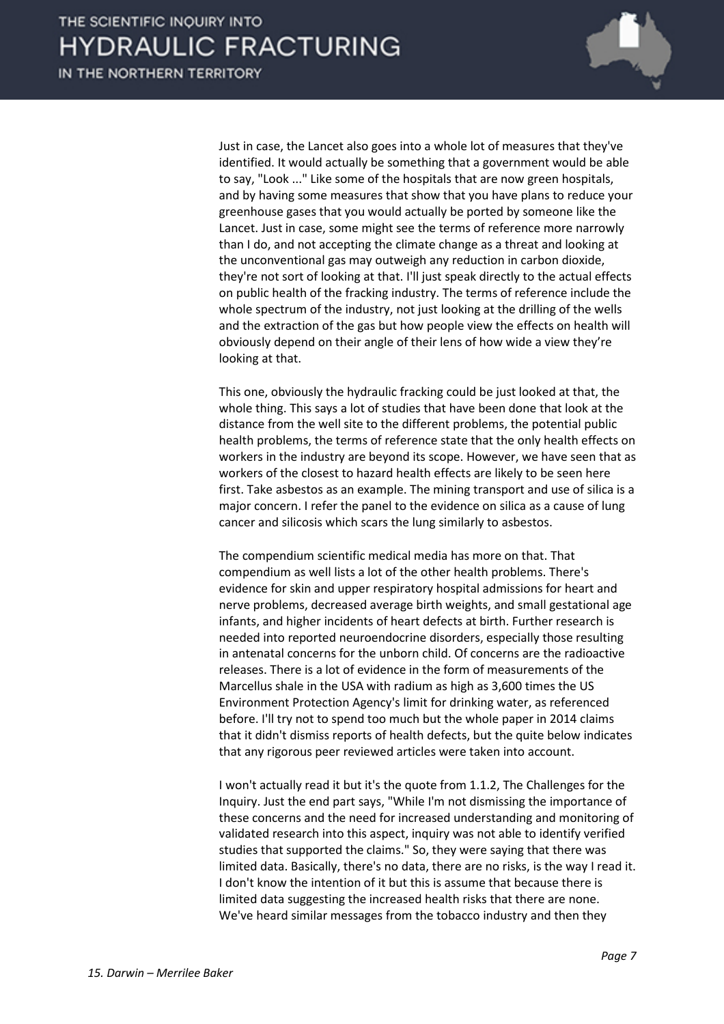

Just in case, the Lancet also goes into a whole lot of measures that they've identified. It would actually be something that a government would be able to say, "Look ..." Like some of the hospitals that are now green hospitals, and by having some measures that show that you have plans to reduce your greenhouse gases that you would actually be ported by someone like the Lancet. Just in case, some might see the terms of reference more narrowly than I do, and not accepting the climate change as a threat and looking at the unconventional gas may outweigh any reduction in carbon dioxide, they're not sort of looking at that. I'll just speak directly to the actual effects on public health of the fracking industry. The terms of reference include the whole spectrum of the industry, not just looking at the drilling of the wells and the extraction of the gas but how people view the effects on health will obviously depend on their angle of their lens of how wide a view they're looking at that.

This one, obviously the hydraulic fracking could be just looked at that, the whole thing. This says a lot of studies that have been done that look at the distance from the well site to the different problems, the potential public health problems, the terms of reference state that the only health effects on workers in the industry are beyond its scope. However, we have seen that as workers of the closest to hazard health effects are likely to be seen here first. Take asbestos as an example. The mining transport and use of silica is a major concern. I refer the panel to the evidence on silica as a cause of lung cancer and silicosis which scars the lung similarly to asbestos.

The compendium scientific medical media has more on that. That compendium as well lists a lot of the other health problems. There's evidence for skin and upper respiratory hospital admissions for heart and nerve problems, decreased average birth weights, and small gestational age infants, and higher incidents of heart defects at birth. Further research is needed into reported neuroendocrine disorders, especially those resulting in antenatal concerns for the unborn child. Of concerns are the radioactive releases. There is a lot of evidence in the form of measurements of the Marcellus shale in the USA with radium as high as 3,600 times the US Environment Protection Agency's limit for drinking water, as referenced before. I'll try not to spend too much but the whole paper in 2014 claims that it didn't dismiss reports of health defects, but the quite below indicates that any rigorous peer reviewed articles were taken into account.

I won't actually read it but it's the quote from 1.1.2, The Challenges for the Inquiry. Just the end part says, "While I'm not dismissing the importance of these concerns and the need for increased understanding and monitoring of validated research into this aspect, inquiry was not able to identify verified studies that supported the claims." So, they were saying that there was limited data. Basically, there's no data, there are no risks, is the way I read it. I don't know the intention of it but this is assume that because there is limited data suggesting the increased health risks that there are none. We've heard similar messages from the tobacco industry and then they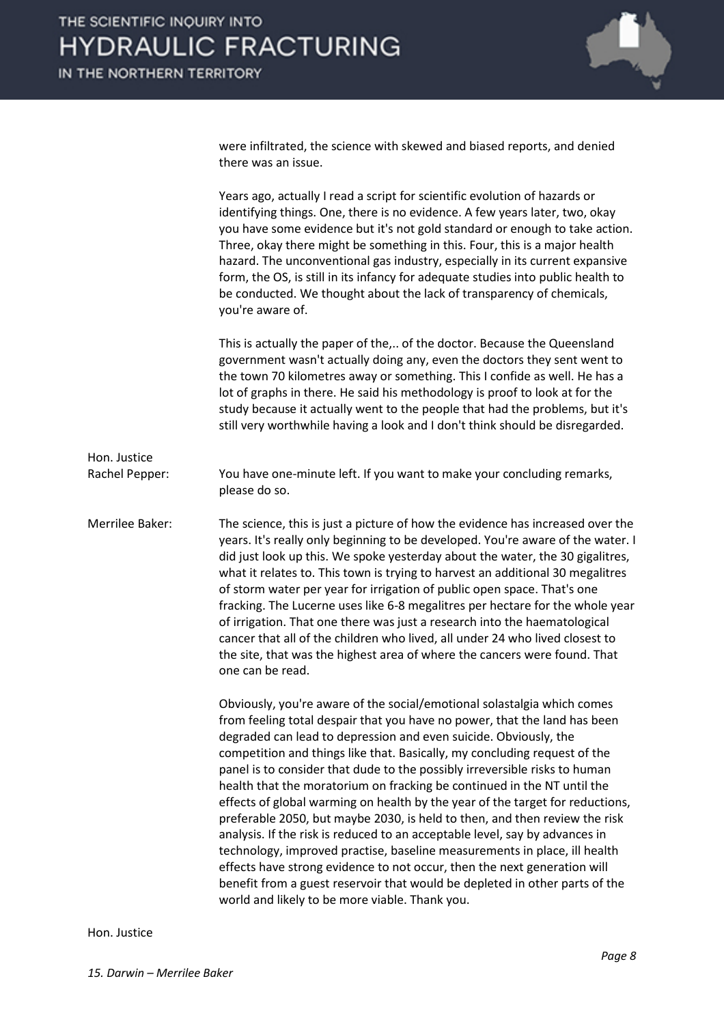

were infiltrated, the science with skewed and biased reports, and denied there was an issue.

Years ago, actually I read a script for scientific evolution of hazards or identifying things. One, there is no evidence. A few years later, two, okay you have some evidence but it's not gold standard or enough to take action. Three, okay there might be something in this. Four, this is a major health hazard. The unconventional gas industry, especially in its current expansive form, the OS, is still in its infancy for adequate studies into public health to be conducted. We thought about the lack of transparency of chemicals, you're aware of. This is actually the paper of the,.. of the doctor. Because the Queensland government wasn't actually doing any, even the doctors they sent went to the town 70 kilometres away or something. This I confide as well. He has a lot of graphs in there. He said his methodology is proof to look at for the study because it actually went to the people that had the problems, but it's still very worthwhile having a look and I don't think should be disregarded. Hon. Justice Rachel Pepper: You have one-minute left. If you want to make your concluding remarks, please do so. Merrilee Baker: The science, this is just a picture of how the evidence has increased over the years. It's really only beginning to be developed. You're aware of the water. I did just look up this. We spoke yesterday about the water, the 30 gigalitres, what it relates to. This town is trying to harvest an additional 30 megalitres of storm water per year for irrigation of public open space. That's one fracking. The Lucerne uses like 6-8 megalitres per hectare for the whole year of irrigation. That one there was just a research into the haematological cancer that all of the children who lived, all under 24 who lived closest to the site, that was the highest area of where the cancers were found. That one can be read. Obviously, you're aware of the social/emotional solastalgia which comes from feeling total despair that you have no power, that the land has been degraded can lead to depression and even suicide. Obviously, the competition and things like that. Basically, my concluding request of the panel is to consider that dude to the possibly irreversible risks to human health that the moratorium on fracking be continued in the NT until the effects of global warming on health by the year of the target for reductions, preferable 2050, but maybe 2030, is held to then, and then review the risk analysis. If the risk is reduced to an acceptable level, say by advances in technology, improved practise, baseline measurements in place, ill health effects have strong evidence to not occur, then the next generation will benefit from a guest reservoir that would be depleted in other parts of the world and likely to be more viable. Thank you.

Hon. Justice